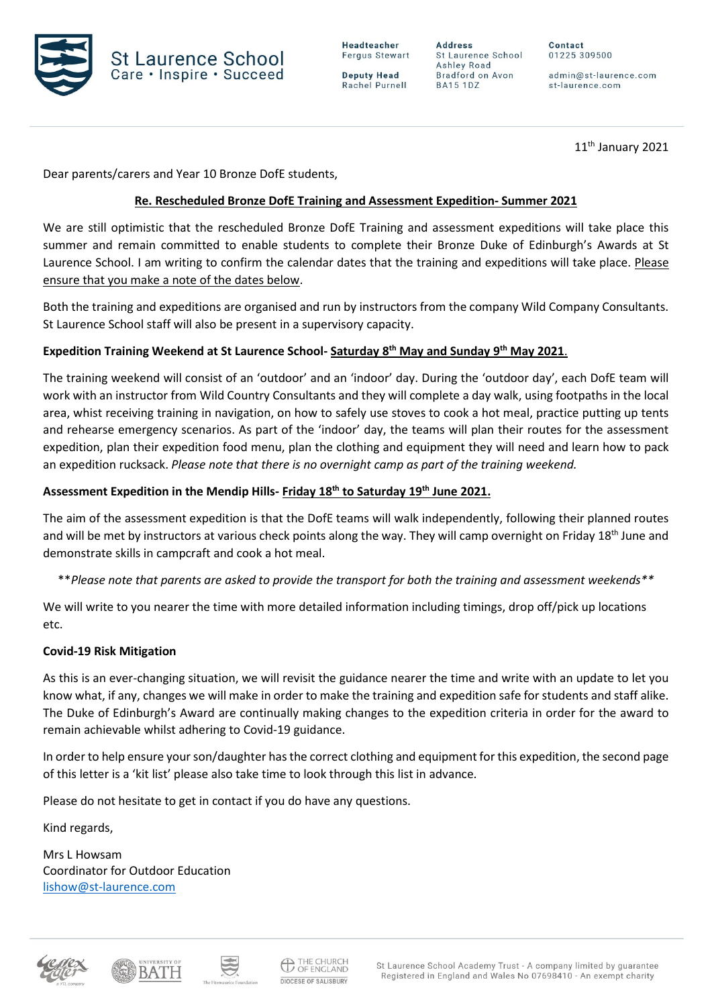



**Deputy Head** Rachel Purnell

**Address** St Laurence School Ashley Road Bradford on Avon **BA15 1DZ** 

01225 309500

Contact

admin@st-laurence.com st-laurence.com

 $11<sup>th</sup>$  January 2021

Dear parents/carers and Year 10 Bronze DofE students,

## **Re. Rescheduled Bronze DofE Training and Assessment Expedition- Summer 2021**

We are still optimistic that the rescheduled Bronze DofE Training and assessment expeditions will take place this summer and remain committed to enable students to complete their Bronze Duke of Edinburgh's Awards at St Laurence School. I am writing to confirm the calendar dates that the training and expeditions will take place. Please ensure that you make a note of the dates below.

Both the training and expeditions are organised and run by instructors from the company Wild Company Consultants. St Laurence School staff will also be present in a supervisory capacity.

## **Expedition Training Weekend at St Laurence School- Saturday 8th May and Sunday 9th May 2021**.

The training weekend will consist of an 'outdoor' and an 'indoor' day. During the 'outdoor day', each DofE team will work with an instructor from Wild Country Consultants and they will complete a day walk, using footpaths in the local area, whist receiving training in navigation, on how to safely use stoves to cook a hot meal, practice putting up tents and rehearse emergency scenarios. As part of the 'indoor' day, the teams will plan their routes for the assessment expedition, plan their expedition food menu, plan the clothing and equipment they will need and learn how to pack an expedition rucksack. *Please note that there is no overnight camp as part of the training weekend.*

### **Assessment Expedition in the Mendip Hills- Friday 18th to Saturday 19th June 2021.**

The aim of the assessment expedition is that the DofE teams will walk independently, following their planned routes and will be met by instructors at various check points along the way. They will camp overnight on Friday 18<sup>th</sup> June and demonstrate skills in campcraft and cook a hot meal.

\*\**Please note that parents are asked to provide the transport for both the training and assessment weekends\*\**

We will write to you nearer the time with more detailed information including timings, drop off/pick up locations etc.

#### **Covid-19 Risk Mitigation**

As this is an ever-changing situation, we will revisit the guidance nearer the time and write with an update to let you know what, if any, changes we will make in order to make the training and expedition safe for students and staff alike. The Duke of Edinburgh's Award are continually making changes to the expedition criteria in order for the award to remain achievable whilst adhering to Covid-19 guidance.

In order to help ensure your son/daughter has the correct clothing and equipment for this expedition, the second page of this letter is a 'kit list' please also take time to look through this list in advance.

Please do not hesitate to get in contact if you do have any questions.

Kind regards,

Mrs L Howsam Coordinator for Outdoor Education [lishow@st-laurence.com](mailto:lishow@st-laurence.com)





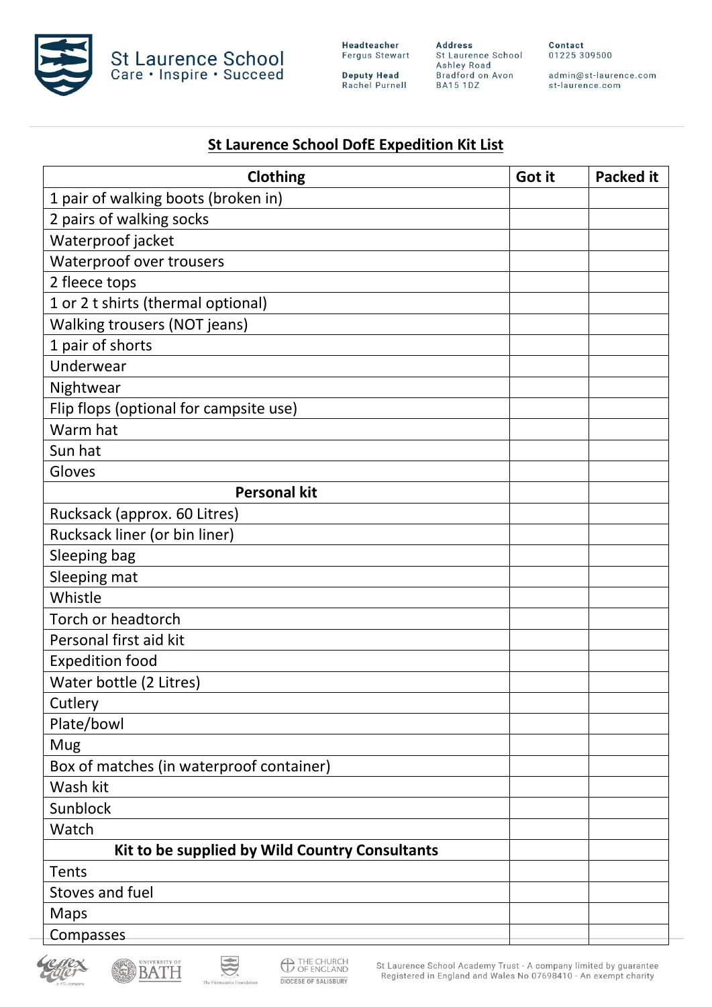

**Deputy Head**<br>Rachel Purnell

**Address**<br>St Laurence School<br>Ashley Road<br>Bradford on Avon<br>BA15 1DZ

Contact 01225 309500

admin@st-laurence.com<br>st-laurence.com

# **St Laurence School DofE Expedition Kit List**

| <b>Clothing</b>                                | Got it | <b>Packed it</b> |
|------------------------------------------------|--------|------------------|
| 1 pair of walking boots (broken in)            |        |                  |
| 2 pairs of walking socks                       |        |                  |
| Waterproof jacket                              |        |                  |
| Waterproof over trousers                       |        |                  |
| 2 fleece tops                                  |        |                  |
| 1 or 2 t shirts (thermal optional)             |        |                  |
| <b>Walking trousers (NOT jeans)</b>            |        |                  |
| 1 pair of shorts                               |        |                  |
| Underwear                                      |        |                  |
| Nightwear                                      |        |                  |
| Flip flops (optional for campsite use)         |        |                  |
| Warm hat                                       |        |                  |
| Sun hat                                        |        |                  |
| Gloves                                         |        |                  |
| <b>Personal kit</b>                            |        |                  |
| Rucksack (approx. 60 Litres)                   |        |                  |
| Rucksack liner (or bin liner)                  |        |                  |
| Sleeping bag                                   |        |                  |
| Sleeping mat                                   |        |                  |
| Whistle                                        |        |                  |
| Torch or headtorch                             |        |                  |
| Personal first aid kit                         |        |                  |
| <b>Expedition food</b>                         |        |                  |
| Water bottle (2 Litres)                        |        |                  |
| Cutlery                                        |        |                  |
| Plate/bowl                                     |        |                  |
| Mug                                            |        |                  |
| Box of matches (in waterproof container)       |        |                  |
| Wash kit                                       |        |                  |
| Sunblock                                       |        |                  |
| Watch                                          |        |                  |
| Kit to be supplied by Wild Country Consultants |        |                  |
| Tents                                          |        |                  |
| Stoves and fuel                                |        |                  |
| Maps                                           |        |                  |
| Compasses                                      |        |                  |